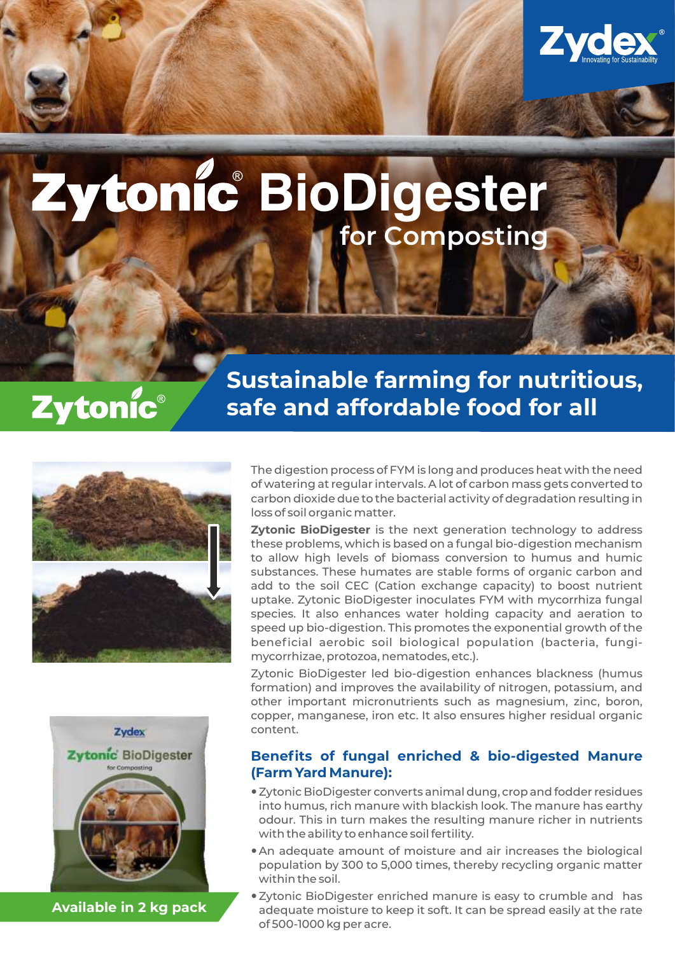

# **BioDigester for Composting**

## Zytonic®

### **Sustainable farming for nutritious, safe and affordable food for all**





**Available in 2 kg pack**

The digestion process of FYM is long and produces heat with the need of watering at regular intervals. A lot of carbon mass gets converted to carbon dioxide due to the bacterial activity of degradation resulting in loss of soil organic matter.

**Zytonic BioDigester** is the next generation technology to address these problems, which is based on a fungal bio-digestion mechanism to allow high levels of biomass conversion to humus and humic substances. These humates are stable forms of organic carbon and add to the soil CEC (Cation exchange capacity) to boost nutrient uptake. Zytonic BioDigester inoculates FYM with mycorrhiza fungal species. It also enhances water holding capacity and aeration to speed up bio-digestion. This promotes the exponential growth of the beneficial aerobic soil biological population (bacteria, fungimycorrhizae, protozoa, nematodes, etc.).

Zytonic BioDigester led bio-digestion enhances blackness (humus formation) and improves the availability of nitrogen, potassium, and other important micronutrients such as magnesium, zinc, boron, copper, manganese, iron etc. It also ensures higher residual organic content.

#### **Benefits of fungal enriched & bio-digested Manure (Farm Yard Manure):**

- —Zytonic BioDigester converts animal dung, crop and fodder residues into humus, rich manure with blackish look. The manure has earthy odour. This in turn makes the resulting manure richer in nutrients with the ability to enhance soil fertility.
- An adequate amount of moisture and air increases the biological population by 300 to 5,000 times, thereby recycling organic matter within the soil.
- —Zytonic BioDigester enriched manure is easy to crumble and has adequate moisture to keep it soft. It can be spread easily at the rate of 500-1000 kg per acre.